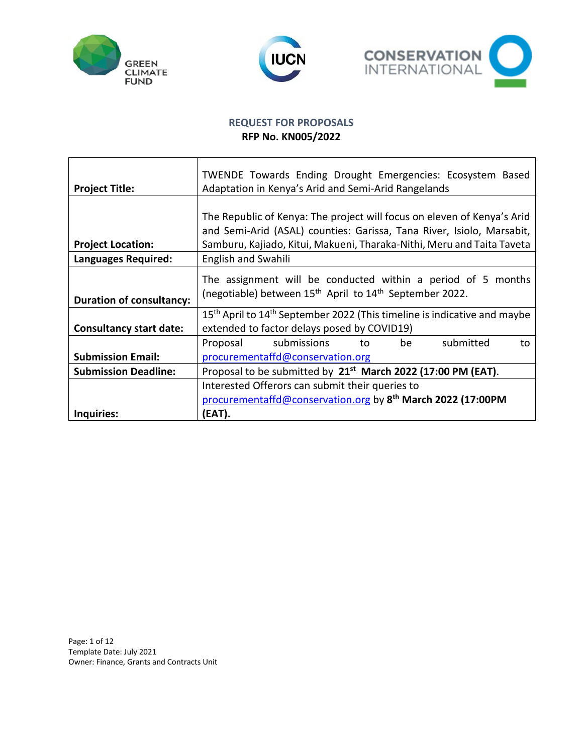





## **REQUEST FOR PROPOSALS RFP No. KN005/2022**

|                                 | TWENDE Towards Ending Drought Emergencies: Ecosystem Based                                                                                      |  |  |  |  |
|---------------------------------|-------------------------------------------------------------------------------------------------------------------------------------------------|--|--|--|--|
| <b>Project Title:</b>           | Adaptation in Kenya's Arid and Semi-Arid Rangelands                                                                                             |  |  |  |  |
|                                 |                                                                                                                                                 |  |  |  |  |
|                                 | The Republic of Kenya: The project will focus on eleven of Kenya's Arid                                                                         |  |  |  |  |
|                                 | and Semi-Arid (ASAL) counties: Garissa, Tana River, Isiolo, Marsabit,                                                                           |  |  |  |  |
| <b>Project Location:</b>        | Samburu, Kajiado, Kitui, Makueni, Tharaka-Nithi, Meru and Taita Taveta                                                                          |  |  |  |  |
| Languages Required:             | <b>English and Swahili</b>                                                                                                                      |  |  |  |  |
| <b>Duration of consultancy:</b> | The assignment will be conducted within a period of 5 months<br>(negotiable) between 15 <sup>th</sup> April to 14 <sup>th</sup> September 2022. |  |  |  |  |
|                                 | 15 <sup>th</sup> April to 14 <sup>th</sup> September 2022 (This timeline is indicative and maybe                                                |  |  |  |  |
| <b>Consultancy start date:</b>  | extended to factor delays posed by COVID19)                                                                                                     |  |  |  |  |
|                                 | submissions<br>be<br>submitted<br>Proposal<br>to<br>to                                                                                          |  |  |  |  |
| <b>Submission Email:</b>        | procurementaffd@conservation.org                                                                                                                |  |  |  |  |
| <b>Submission Deadline:</b>     | Proposal to be submitted by 21 <sup>st</sup> March 2022 (17:00 PM (EAT).                                                                        |  |  |  |  |
|                                 | Interested Offerors can submit their queries to                                                                                                 |  |  |  |  |
|                                 | procurementaffd@conservation.org by 8 <sup>th</sup> March 2022 (17:00PM                                                                         |  |  |  |  |
| Inquiries:                      | (EAT).                                                                                                                                          |  |  |  |  |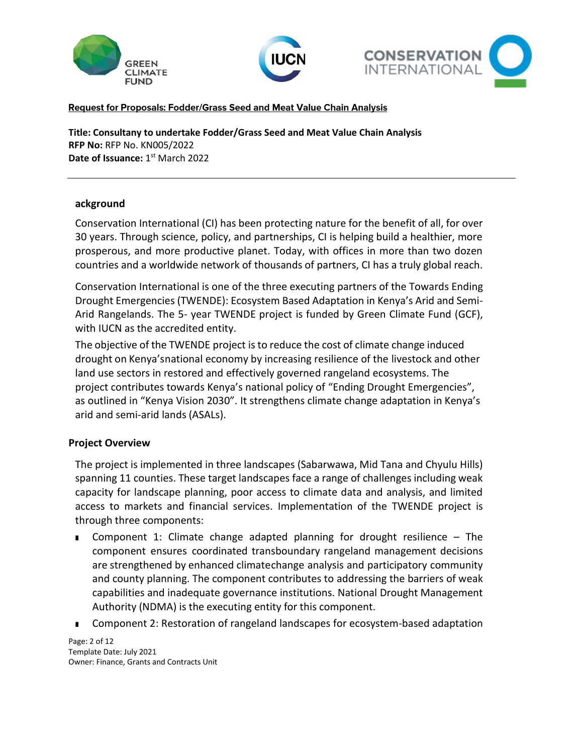





Request for Proposals: Fodder/Grass Seed and Meat Value Chain Analysis

**Title: Consultany to undertake Fodder/Grass Seed and Meat Value Chain Analysis RFP No:** RFP No. KN005/2022 Date of Issuance: 1<sup>st</sup> March 2022

#### **ackground**

Conservation International (CI) has been protecting nature for the benefit of all, for over 30 years. Through science, policy, and partnerships, CI is helping build a healthier, more prosperous, and more productive planet. Today, with offices in more than two dozen countries and a worldwide network of thousands of partners, CI has a truly global reach.

Conservation International is one of the three executing partners of the Towards Ending Drought Emergencies (TWENDE): Ecosystem Based Adaptation in Kenya's Arid and Semi-Arid Rangelands. The 5- year TWENDE project is funded by Green Climate Fund (GCF), with IUCN as the accredited entity.

The objective of the TWENDE project is to reduce the cost of climate change induced drought on Kenya'snational economy by increasing resilience of the livestock and other land use sectors in restored and effectively governed rangeland ecosystems. The project contributes towards Kenya's national policy of "Ending Drought Emergencies", as outlined in "Kenya Vision 2030". It strengthens climate change adaptation in Kenya's arid and semi-arid lands (ASALs).

#### **Project Overview**

The project is implemented in three landscapes (Sabarwawa, Mid Tana and Chyulu Hills) spanning 11 counties. These target landscapes face a range of challenges including weak capacity for landscape planning, poor access to climate data and analysis, and limited access to markets and financial services. Implementation of the TWENDE project is through three components:

- Component 1: Climate change adapted planning for drought resilience The component ensures coordinated transboundary rangeland management decisions are strengthened by enhanced climatechange analysis and participatory community and county planning. The component contributes to addressing the barriers of weak capabilities and inadequate governance institutions. National Drought Management Authority (NDMA) is the executing entity for this component.
- Component 2: Restoration of rangeland landscapes for ecosystem-based adaptation

Page: 2 of 12 Template Date: July 2021 Owner: Finance, Grants and Contracts Unit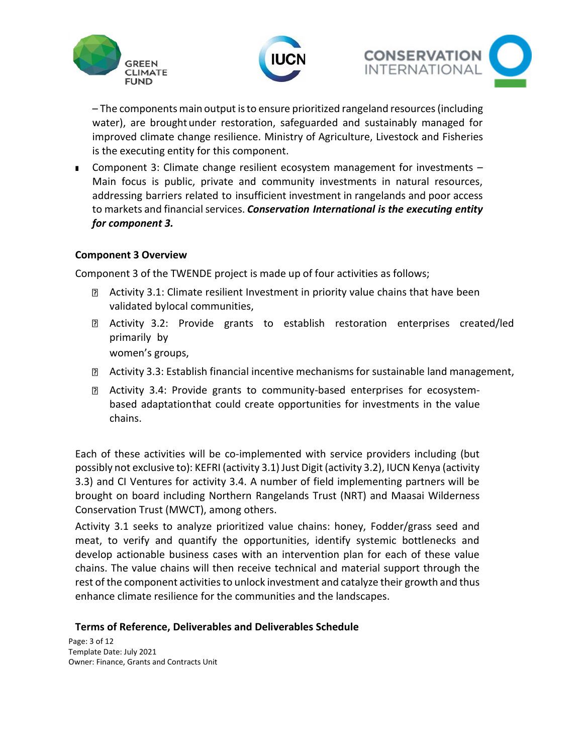





– The components main output isto ensure prioritized rangeland resources(including water), are broughtunder restoration, safeguarded and sustainably managed for improved climate change resilience. Ministry of Agriculture, Livestock and Fisheries is the executing entity for this component.

Component 3: Climate change resilient ecosystem management for investments -Main focus is public, private and community investments in natural resources, addressing barriers related to insufficient investment in rangelands and poor access to markets and financialservices. *Conservation International is the executing entity for component 3.*

## **Component 3 Overview**

Component 3 of the TWENDE project is made up of four activities as follows;

- **E** Activity 3.1: Climate resilient Investment in priority value chains that have been validated bylocal communities,
- Activity 3.2: Provide grants to establish restoration enterprises created/led primarily by women's groups,
- Activity 3.3: Establish financial incentive mechanisms for sustainable land management,
- Activity 3.4: Provide grants to community-based enterprises for ecosystembased adaptationthat could create opportunities for investments in the value chains.

Each of these activities will be co-implemented with service providers including (but possibly not exclusive to): KEFRI (activity 3.1) Just Digit (activity 3.2), IUCN Kenya (activity 3.3) and CI Ventures for activity 3.4. A number of field implementing partners will be brought on board including Northern Rangelands Trust (NRT) and Maasai Wilderness Conservation Trust (MWCT), among others.

Activity 3.1 seeks to analyze prioritized value chains: honey, Fodder/grass seed and meat, to verify and quantify the opportunities, identify systemic bottlenecks and develop actionable business cases with an intervention plan for each of these value chains. The value chains will then receive technical and material support through the rest of the component activities to unlock investment and catalyze their growth and thus enhance climate resilience for the communities and the landscapes.

#### **Terms of Reference, Deliverables and Deliverables Schedule**

Page: 3 of 12 Template Date: July 2021 Owner: Finance, Grants and Contracts Unit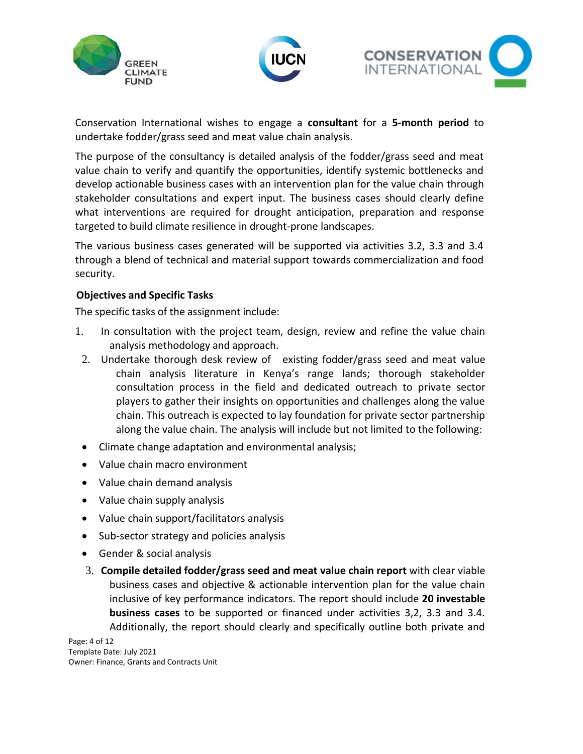





Conservation International wishes to engage a **consultant** for a **5-month period** to undertake fodder/grass seed and meat value chain analysis.

The purpose of the consultancy is detailed analysis of the fodder/grass seed and meat value chain to verify and quantify the opportunities, identify systemic bottlenecks and develop actionable business cases with an intervention plan for the value chain through stakeholder consultations and expert input. The business cases should clearly define what interventions are required for drought anticipation, preparation and response targeted to build climate resilience in drought-prone landscapes.

The various business cases generated will be supported via activities 3.2, 3.3 and 3.4 through a blend of technical and material support towards commercialization and food security.

## **Objectives and Specific Tasks**

The specific tasks of the assignment include:

- 1. In consultation with the project team, design, review and refine the value chain analysis methodology and approach.
- 2. Undertake thorough desk review of existing fodder/grass seed and meat value chain analysis literature in Kenya's range lands; thorough stakeholder consultation process in the field and dedicated outreach to private sector players to gather their insights on opportunities and challenges along the value chain. This outreach is expected to lay foundation for private sector partnership along the value chain. The analysis will include but not limited to the following:
- Climate change adaptation and environmental analysis;
- Value chain macro environment
- Value chain demand analysis
- Value chain supply analysis
- Value chain support/facilitators analysis
- Sub-sector strategy and policies analysis
- Gender & social analysis
- 3. **Compile detailed fodder/grass seed and meat value chain report** with clear viable business cases and objective & actionable intervention plan for the value chain inclusive of key performance indicators. The report should include **20 investable business cases** to be supported or financed under activities 3,2, 3.3 and 3.4. Additionally, the report should clearly and specifically outline both private and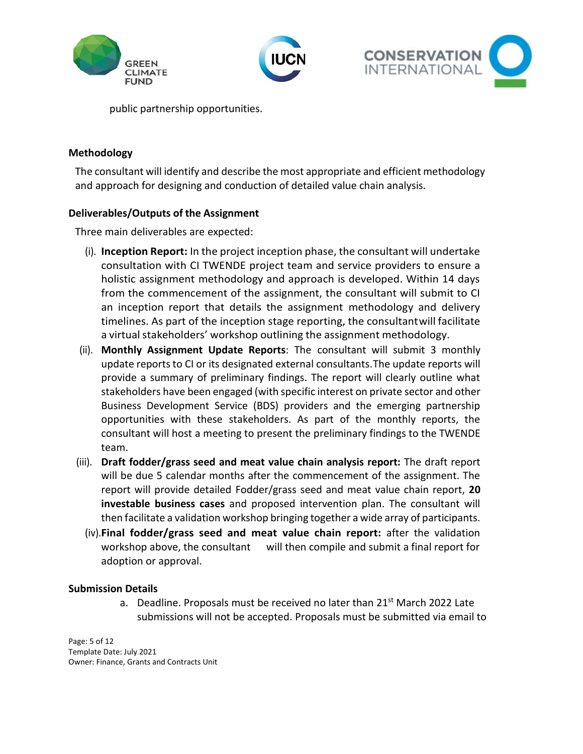





public partnership opportunities.

## **Methodology**

The consultant will identify and describe the most appropriate and efficient methodology and approach for designing and conduction of detailed value chain analysis.

#### **Deliverables/Outputs of the Assignment**

Three main deliverables are expected:

- (i). **Inception Report:** In the project inception phase, the consultant will undertake consultation with CI TWENDE project team and service providers to ensure a holistic assignment methodology and approach is developed. Within 14 days from the commencement of the assignment, the consultant will submit to CI an inception report that details the assignment methodology and delivery timelines. As part of the inception stage reporting, the consultantwill facilitate a virtual stakeholders' workshop outlining the assignment methodology.
- (ii). **Monthly Assignment Update Reports**: The consultant will submit 3 monthly update reports to CI or its designated external consultants. The update reports will provide a summary of preliminary findings. The report will clearly outline what stakeholders have been engaged (with specific interest on private sector and other Business Development Service (BDS) providers and the emerging partnership opportunities with these stakeholders. As part of the monthly reports, the consultant will host a meeting to present the preliminary findings to the TWENDE team.
- (iii). **Draft fodder/grass seed and meat value chain analysis report:** The draft report will be due 5 calendar months after the commencement of the assignment. The report will provide detailed Fodder/grass seed and meat value chain report, **20 investable business cases** and proposed intervention plan. The consultant will then facilitate a validation workshop bringing together a wide array of participants.
	- (iv).**Final fodder/grass seed and meat value chain report:** after the validation workshop above, the consultant will then compile and submit a final report for adoption or approval.

#### **Submission Details**

a. Deadline. Proposals must be received no later than  $21^{st}$  March 2022 Late submissions will not be accepted. Proposals must be submitted via email to

Page: 5 of 12 Template Date: July 2021 Owner: Finance, Grants and Contracts Unit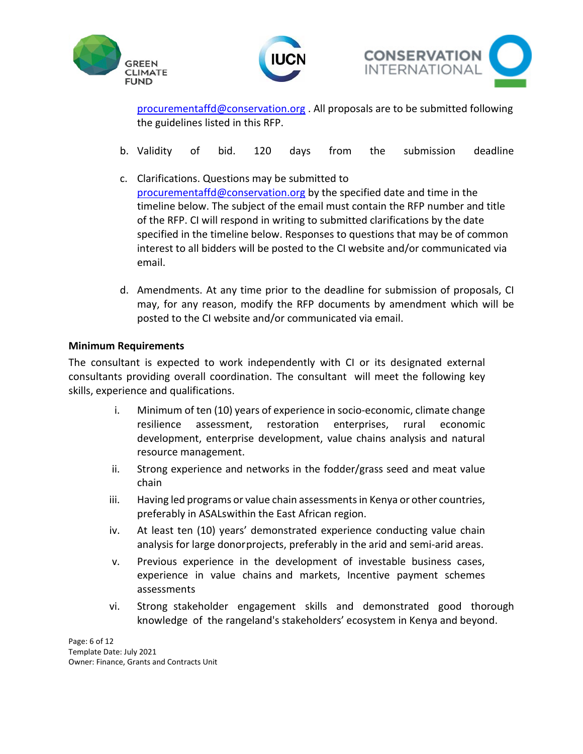





[procurementaffd@conservation.org](mailto:procurementaffd@conservation.org). All proposals are to be submitted following the guidelines listed in this RFP.

- b. Validity of bid. 120 days from the submission deadline
- c. Clarifications. Questions may be submitted to [procurementaffd@conservation.org](mailto:procurementaffd@conservation.org) by the specified date and time in the timeline below. The subject of the email must contain the RFP number and title of the RFP. CI will respond in writing to submitted clarifications by the date specified in the timeline below. Responses to questions that may be of common interest to all bidders will be posted to the CI website and/or communicated via email.
- d. Amendments. At any time prior to the deadline for submission of proposals, CI may, for any reason, modify the RFP documents by amendment which will be posted to the CI website and/or communicated via email.

## **Minimum Requirements**

The consultant is expected to work independently with CI or its designated external consultants providing overall coordination. The consultant will meet the following key skills, experience and qualifications.

- i. Minimum of ten (10) years of experience in socio-economic, climate change resilience assessment, restoration enterprises, rural economic development, enterprise development, value chains analysis and natural resource management.
- ii. Strong experience and networks in the fodder/grass seed and meat value chain
- iii. Having led programs or value chain assessmentsin Kenya or other countries, preferably in ASALswithin the East African region.
- iv. At least ten (10) years' demonstrated experience conducting value chain analysis for large donorprojects, preferably in the arid and semi-arid areas.
- v. Previous experience in the development of investable business cases, experience in value chains and markets, Incentive payment schemes assessments
- vi. Strong stakeholder engagement skills and demonstrated good thorough knowledge of the rangeland's stakeholders' ecosystem in Kenya and beyond.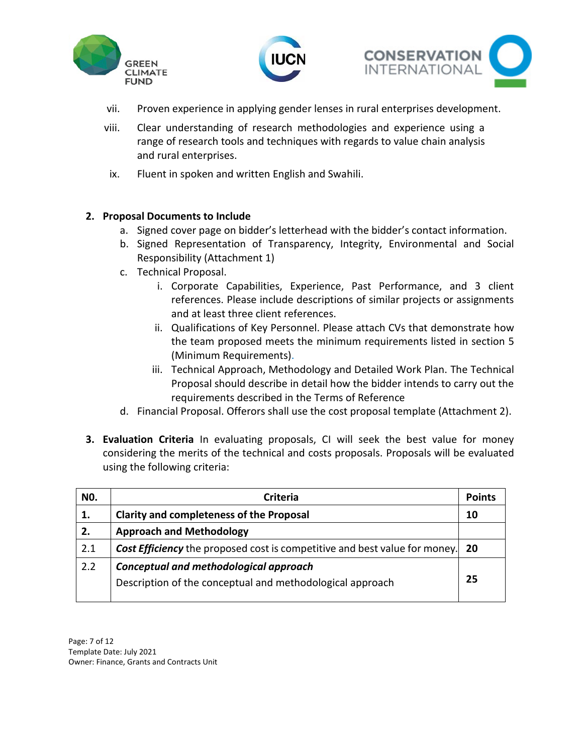





- vii. Proven experience in applying gender lenses in rural enterprises development.
- viii. Clear understanding of research methodologies and experience using a range of research tools and techniques with regards to value chain analysis and rural enterprises.
- ix. Fluent in spoken and written English and Swahili.

## **2. Proposal Documents to Include**

- a. Signed cover page on bidder's letterhead with the bidder's contact information.
- b. Signed Representation of Transparency, Integrity, Environmental and Social Responsibility (Attachment 1)
- c. Technical Proposal.
	- i. Corporate Capabilities, Experience, Past Performance, and 3 client references. Please include descriptions of similar projects or assignments and at least three client references.
	- ii. Qualifications of Key Personnel. Please attach CVs that demonstrate how the team proposed meets the minimum requirements listed in section 5 (Minimum Requirements).
	- iii. Technical Approach, Methodology and Detailed Work Plan. The Technical Proposal should describe in detail how the bidder intends to carry out the requirements described in the Terms of Reference
- d. Financial Proposal. Offerors shall use the cost proposal template (Attachment 2).
- **3. Evaluation Criteria** In evaluating proposals, CI will seek the best value for money considering the merits of the technical and costs proposals. Proposals will be evaluated using the following criteria:

| NO. | <b>Criteria</b>                                                                                     | <b>Points</b> |
|-----|-----------------------------------------------------------------------------------------------------|---------------|
| 1.  | <b>Clarity and completeness of the Proposal</b>                                                     | 10            |
| 2.  | <b>Approach and Methodology</b>                                                                     |               |
| 2.1 | <b>Cost Efficiency</b> the proposed cost is competitive and best value for money. 20                |               |
| 2.2 | Conceptual and methodological approach<br>Description of the conceptual and methodological approach | 25            |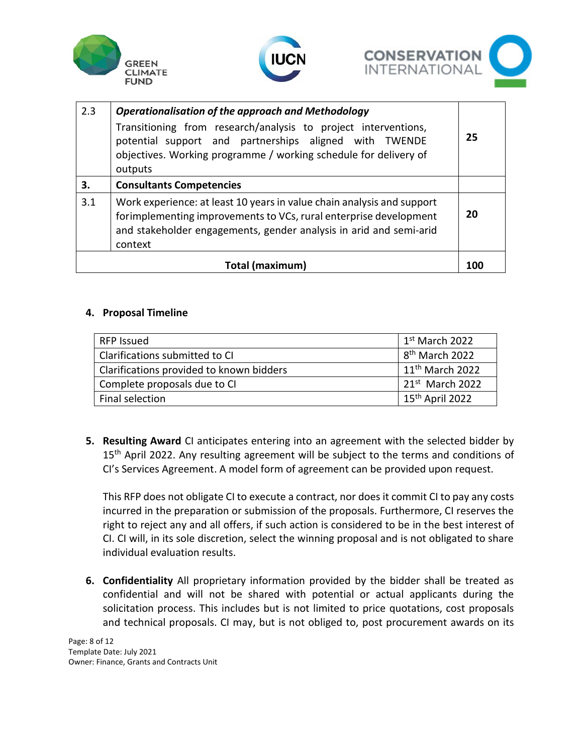





| 2.3                                                                                                                                                                                                                                  | <b>Operationalisation of the approach and Methodology</b><br>Transitioning from research/analysis to project interventions,<br>potential support and partnerships aligned with TWENDE<br>objectives. Working programme / working schedule for delivery of<br>outputs | 25  |
|--------------------------------------------------------------------------------------------------------------------------------------------------------------------------------------------------------------------------------------|----------------------------------------------------------------------------------------------------------------------------------------------------------------------------------------------------------------------------------------------------------------------|-----|
| 3.                                                                                                                                                                                                                                   | <b>Consultants Competencies</b>                                                                                                                                                                                                                                      |     |
| 3.1<br>Work experience: at least 10 years in value chain analysis and support<br>for implementing improvements to VCs, rural enterprise development<br>and stakeholder engagements, gender analysis in arid and semi-arid<br>context |                                                                                                                                                                                                                                                                      | 20  |
| Total (maximum)                                                                                                                                                                                                                      |                                                                                                                                                                                                                                                                      | 100 |

## **4. Proposal Timeline**

| <b>RFP Issued</b>                        | $1st$ March 2022                        |
|------------------------------------------|-----------------------------------------|
| Clarifications submitted to CI           | <sup>1</sup> 8 <sup>th</sup> March 2022 |
| Clarifications provided to known bidders | 11 <sup>th</sup> March 2022             |
| Complete proposals due to CI             | $21st$ March 2022                       |
| <b>Final selection</b>                   | 15 <sup>th</sup> April 2022             |

**5. Resulting Award** CI anticipates entering into an agreement with the selected bidder by 15<sup>th</sup> April 2022. Any resulting agreement will be subject to the terms and conditions of CI's Services Agreement. A model form of agreement can be provided upon request.

This RFP does not obligate CI to execute a contract, nor does it commit CI to pay any costs incurred in the preparation or submission of the proposals. Furthermore, CI reserves the right to reject any and all offers, if such action is considered to be in the best interest of CI. CI will, in its sole discretion, select the winning proposal and is not obligated to share individual evaluation results.

**6. Confidentiality** All proprietary information provided by the bidder shall be treated as confidential and will not be shared with potential or actual applicants during the solicitation process. This includes but is not limited to price quotations, cost proposals and technical proposals. CI may, but is not obliged to, post procurement awards on its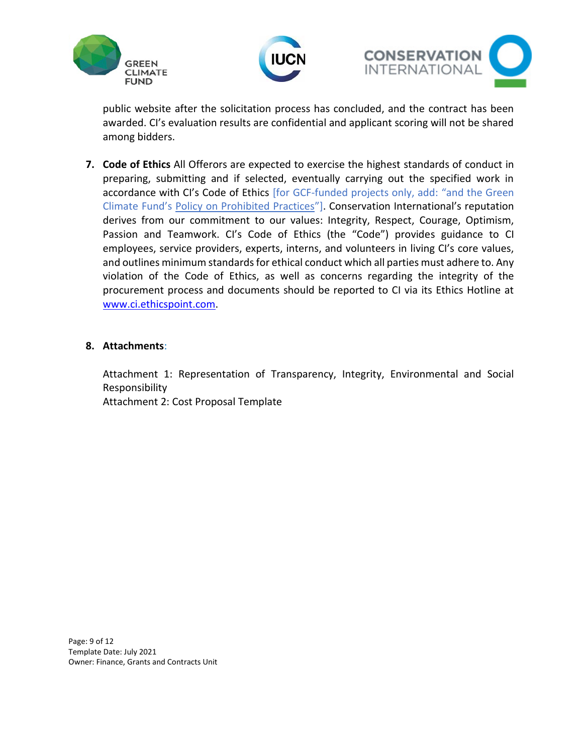





public website after the solicitation process has concluded, and the contract has been awarded. CI's evaluation results are confidential and applicant scoring will not be shared among bidders.

**7. Code of Ethics** All Offerors are expected to exercise the highest standards of conduct in preparing, submitting and if selected, eventually carrying out the specified work in accordance with CI's Code of Ethics [for GCF-funded projects only, add: "and the Green Climate Fund's [Policy on Prohibited Practices](https://www.greenclimate.fund/document/policy-prohibited-practices)"]. Conservation International's reputation derives from our commitment to our values: Integrity, Respect, Courage, Optimism, Passion and Teamwork. CI's Code of Ethics (the "Code") provides guidance to CI employees, service providers, experts, interns, and volunteers in living CI's core values, and outlines minimum standards for ethical conduct which all parties must adhere to. Any violation of the Code of Ethics, as well as concerns regarding the integrity of the procurement process and documents should be reported to CI via its Ethics Hotline at [www.ci.ethicspoint.com.](http://www.ci.ethicspoint.com/)

## **8. Attachments**:

Attachment 1: Representation of Transparency, Integrity, Environmental and Social Responsibility

Attachment 2: Cost Proposal Template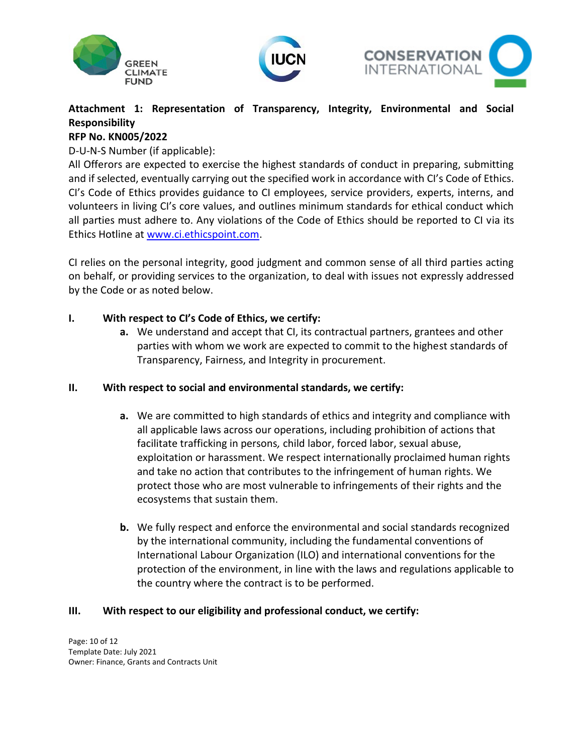





## **Attachment 1: Representation of Transparency, Integrity, Environmental and Social Responsibility RFP No. KN005/2022**

# D-U-N-S Number (if applicable):

All Offerors are expected to exercise the highest standards of conduct in preparing, submitting and if selected, eventually carrying out the specified work in accordance with CI's Code of Ethics. CI's Code of Ethics provides guidance to CI employees, service providers, experts, interns, and volunteers in living CI's core values, and outlines minimum standards for ethical conduct which all parties must adhere to. Any violations of the Code of Ethics should be reported to CI via its Ethics Hotline at [www.ci.ethicspoint.com.](http://www.ci.ethicspoint.com/)

CI relies on the personal integrity, good judgment and common sense of all third parties acting on behalf, or providing services to the organization, to deal with issues not expressly addressed by the Code or as noted below.

## **I. With respect to CI's Code of Ethics, we certify:**

**a.** We understand and accept that CI, its contractual partners, grantees and other parties with whom we work are expected to commit to the highest standards of Transparency, Fairness, and Integrity in procurement.

## **II. With respect to social and environmental standards, we certify:**

- **a.** We are committed to high standards of ethics and integrity and compliance with all applicable laws across our operations, including prohibition of actions that facilitate trafficking in persons*,* child labor, forced labor, sexual abuse, exploitation or harassment. We respect internationally proclaimed human rights and take no action that contributes to the infringement of human rights. We protect those who are most vulnerable to infringements of their rights and the ecosystems that sustain them.
- **b.** We fully respect and enforce the environmental and social standards recognized by the international community, including the fundamental conventions of International Labour Organization (ILO) and international conventions for the protection of the environment, in line with the laws and regulations applicable to the country where the contract is to be performed.

#### **III. With respect to our eligibility and professional conduct, we certify:**

Page: 10 of 12 Template Date: July 2021 Owner: Finance, Grants and Contracts Unit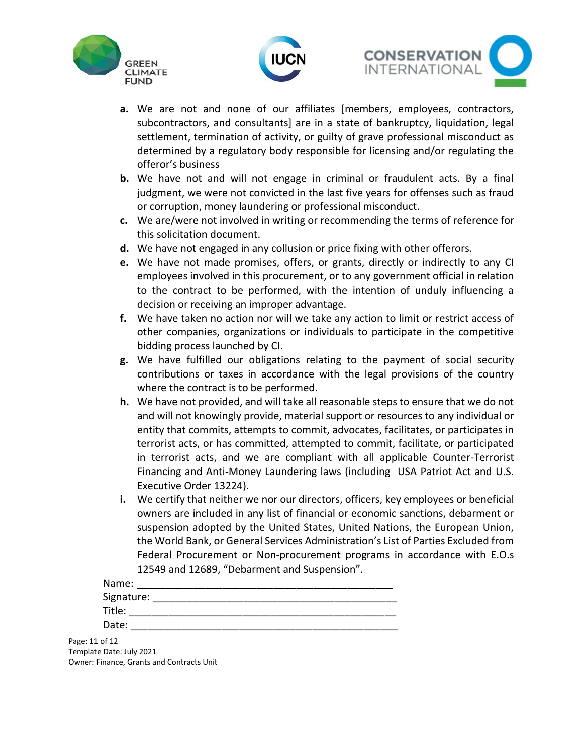





- **a.** We are not and none of our affiliates [members, employees, contractors, subcontractors, and consultants] are in a state of bankruptcy, liquidation, legal settlement, termination of activity, or guilty of grave professional misconduct as determined by a regulatory body responsible for licensing and/or regulating the offeror's business
- **b.** We have not and will not engage in criminal or fraudulent acts. By a final judgment, we were not convicted in the last five years for offenses such as fraud or corruption, money laundering or professional misconduct.
- **c.** We are/were not involved in writing or recommending the terms of reference for this solicitation document.
- **d.** We have not engaged in any collusion or price fixing with other offerors.
- **e.** We have not made promises, offers, or grants, directly or indirectly to any CI employees involved in this procurement, or to any government official in relation to the contract to be performed, with the intention of unduly influencing a decision or receiving an improper advantage.
- **f.** We have taken no action nor will we take any action to limit or restrict access of other companies, organizations or individuals to participate in the competitive bidding process launched by CI.
- **g.** We have fulfilled our obligations relating to the payment of social security contributions or taxes in accordance with the legal provisions of the country where the contract is to be performed.
- **h.** We have not provided, and will take all reasonable steps to ensure that we do not and will not knowingly provide, material support or resources to any individual or entity that commits, attempts to commit, advocates, facilitates, or participates in terrorist acts, or has committed, attempted to commit, facilitate, or participated in terrorist acts, and we are compliant with all applicable Counter-Terrorist Financing and Anti-Money Laundering laws (including USA Patriot Act and U.S. Executive Order 13224).
- **i.** We certify that neither we nor our directors, officers, key employees or beneficial owners are included in any list of financial or economic sanctions, debarment or suspension adopted by the United States, United Nations, the European Union, the World Bank, or General Services Administration's List of Parties Excluded from Federal Procurement or Non-procurement programs in accordance with E.O.s 12549 and 12689, "Debarment and Suspension".

| Name:      |  |  |
|------------|--|--|
| Signature: |  |  |
| Title:     |  |  |
| Date:      |  |  |
| of 12      |  |  |

Page: 11 of Template Date: July 2021 Owner: Finance, Grants and Contracts Unit